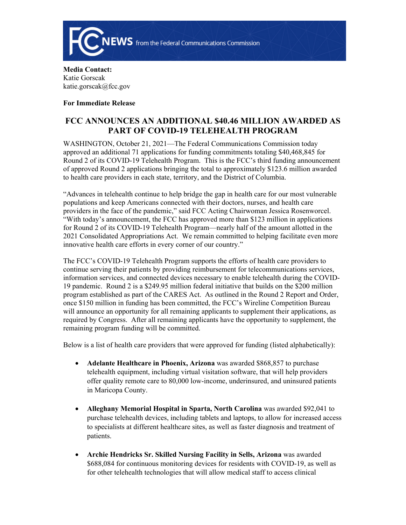

**Media Contact:**  Katie Gorscak katie.gorscak@fcc.gov

**For Immediate Release**

## **FCC ANNOUNCES AN ADDITIONAL \$40.46 MILLION AWARDED AS PART OF COVID-19 TELEHEALTH PROGRAM**

WASHINGTON, October 21, 2021—The Federal Communications Commission today approved an additional 71 applications for funding commitments totaling \$40,468,845 for Round 2 of its COVID-19 Telehealth Program. This is the FCC's third funding announcement of approved Round 2 applications bringing the total to approximately \$123.6 million awarded to health care providers in each state, territory, and the District of Columbia.

"Advances in telehealth continue to help bridge the gap in health care for our most vulnerable populations and keep Americans connected with their doctors, nurses, and health care providers in the face of the pandemic," said FCC Acting Chairwoman Jessica Rosenworcel. "With today's announcement, the FCC has approved more than \$123 million in applications for Round 2 of its COVID-19 Telehealth Program—nearly half of the amount allotted in the 2021 Consolidated Appropriations Act. We remain committed to helping facilitate even more innovative health care efforts in every corner of our country."

The FCC's COVID-19 Telehealth Program supports the efforts of health care providers to continue serving their patients by providing reimbursement for telecommunications services, information services, and connected devices necessary to enable telehealth during the COVID-19 pandemic. Round 2 is a \$249.95 million federal initiative that builds on the \$200 million program established as part of the CARES Act. As outlined in the Round 2 Report and Order, once \$150 million in funding has been committed, the FCC's Wireline Competition Bureau will announce an opportunity for all remaining applicants to supplement their applications, as required by Congress. After all remaining applicants have the opportunity to supplement, the remaining program funding will be committed.

Below is a list of health care providers that were approved for funding (listed alphabetically):

- **Adelante Healthcare in Phoenix, Arizona** was awarded \$868,857 to purchase telehealth equipment, including virtual visitation software, that will help providers offer quality remote care to 80,000 low-income, underinsured, and uninsured patients in Maricopa County.
- **Alleghany Memorial Hospital in Sparta, North Carolina** was awarded \$92,041 to purchase telehealth devices, including tablets and laptops, to allow for increased access to specialists at different healthcare sites, as well as faster diagnosis and treatment of patients.
- **Archie Hendricks Sr. Skilled Nursing Facility in Sells, Arizona** was awarded \$688,084 for continuous monitoring devices for residents with COVID-19, as well as for other telehealth technologies that will allow medical staff to access clinical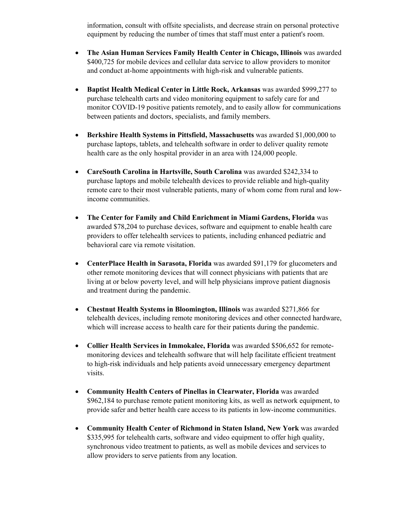information, consult with offsite specialists, and decrease strain on personal protective equipment by reducing the number of times that staff must enter a patient's room.

- **The Asian Human Services Family Health Center in Chicago, Illinois** was awarded \$400,725 for mobile devices and cellular data service to allow providers to monitor and conduct at-home appointments with high-risk and vulnerable patients.
- **Baptist Health Medical Center in Little Rock, Arkansas** was awarded \$999,277 to purchase telehealth carts and video monitoring equipment to safely care for and monitor COVID-19 positive patients remotely, and to easily allow for communications between patients and doctors, specialists, and family members.
- **Berkshire Health Systems in Pittsfield, Massachusetts** was awarded \$1,000,000 to purchase laptops, tablets, and telehealth software in order to deliver quality remote health care as the only hospital provider in an area with 124,000 people.
- **CareSouth Carolina in Hartsville, South Carolina** was awarded \$242,334 to purchase laptops and mobile telehealth devices to provide reliable and high-quality remote care to their most vulnerable patients, many of whom come from rural and lowincome communities.
- **The Center for Family and Child Enrichment in Miami Gardens, Florida** was awarded \$78,204 to purchase devices, software and equipment to enable health care providers to offer telehealth services to patients, including enhanced pediatric and behavioral care via remote visitation.
- **CenterPlace Health in Sarasota, Florida** was awarded \$91,179 for glucometers and other remote monitoring devices that will connect physicians with patients that are living at or below poverty level, and will help physicians improve patient diagnosis and treatment during the pandemic.
- **Chestnut Health Systems in Bloomington, Illinois** was awarded \$271,866 for telehealth devices, including remote monitoring devices and other connected hardware, which will increase access to health care for their patients during the pandemic.
- **Collier Health Services in Immokalee, Florida** was awarded \$506,652 for remotemonitoring devices and telehealth software that will help facilitate efficient treatment to high-risk individuals and help patients avoid unnecessary emergency department visits.
- **Community Health Centers of Pinellas in Clearwater, Florida** was awarded \$962,184 to purchase remote patient monitoring kits, as well as network equipment, to provide safer and better health care access to its patients in low-income communities.
- **Community Health Center of Richmond in Staten Island, New York** was awarded \$335,995 for telehealth carts, software and video equipment to offer high quality, synchronous video treatment to patients, as well as mobile devices and services to allow providers to serve patients from any location.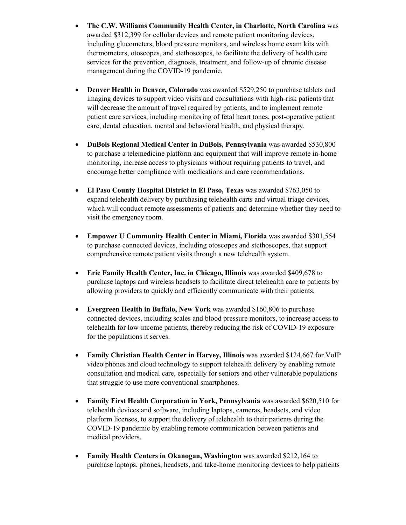- **The C.W. Williams Community Health Center, in Charlotte, North Carolina** was awarded \$312,399 for cellular devices and remote patient monitoring devices, including glucometers, blood pressure monitors, and wireless home exam kits with thermometers, otoscopes, and stethoscopes, to facilitate the delivery of health care services for the prevention, diagnosis, treatment, and follow-up of chronic disease management during the COVID-19 pandemic.
- **Denver Health in Denver, Colorado** was awarded \$529,250 to purchase tablets and imaging devices to support video visits and consultations with high-risk patients that will decrease the amount of travel required by patients, and to implement remote patient care services, including monitoring of fetal heart tones, post-operative patient care, dental education, mental and behavioral health, and physical therapy.
- **DuBois Regional Medical Center in DuBois, Pennsylvania** was awarded \$530,800 to purchase a telemedicine platform and equipment that will improve remote in-home monitoring, increase access to physicians without requiring patients to travel, and encourage better compliance with medications and care recommendations.
- **El Paso County Hospital District in El Paso, Texas** was awarded \$763,050 to expand telehealth delivery by purchasing telehealth carts and virtual triage devices, which will conduct remote assessments of patients and determine whether they need to visit the emergency room.
- **Empower U Community Health Center in Miami, Florida** was awarded \$301,554 to purchase connected devices, including otoscopes and stethoscopes, that support comprehensive remote patient visits through a new telehealth system.
- **Erie Family Health Center, Inc. in Chicago, Illinois** was awarded \$409,678 to purchase laptops and wireless headsets to facilitate direct telehealth care to patients by allowing providers to quickly and efficiently communicate with their patients.
- **Evergreen Health in Buffalo, New York** was awarded \$160,806 to purchase connected devices, including scales and blood pressure monitors, to increase access to telehealth for low-income patients, thereby reducing the risk of COVID-19 exposure for the populations it serves.
- **Family Christian Health Center in Harvey, Illinois** was awarded \$124,667 for VoIP video phones and cloud technology to support telehealth delivery by enabling remote consultation and medical care, especially for seniors and other vulnerable populations that struggle to use more conventional smartphones.
- **Family First Health Corporation in York, Pennsylvania** was awarded \$620,510 for telehealth devices and software, including laptops, cameras, headsets, and video platform licenses, to support the delivery of telehealth to their patients during the COVID-19 pandemic by enabling remote communication between patients and medical providers.
- **Family Health Centers in Okanogan, Washington** was awarded \$212,164 to purchase laptops, phones, headsets, and take-home monitoring devices to help patients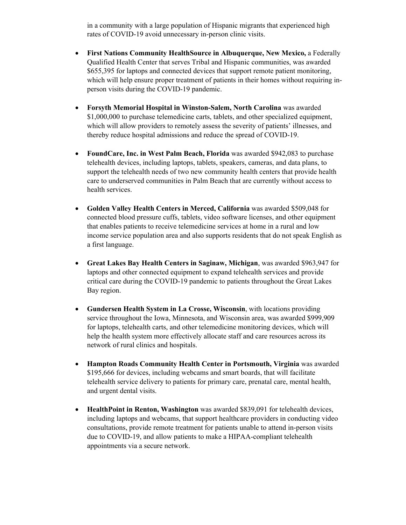in a community with a large population of Hispanic migrants that experienced high rates of COVID-19 avoid unnecessary in-person clinic visits.

- **•** First Nations Community HealthSource in Albuquerque, New Mexico, a Federally Qualified Health Center that serves Tribal and Hispanic communities, was awarded \$655,395 for laptops and connected devices that support remote patient monitoring, which will help ensure proper treatment of patients in their homes without requiring inperson visits during the COVID-19 pandemic.
- **Forsyth Memorial Hospital in Winston-Salem, North Carolina** was awarded \$1,000,000 to purchase telemedicine carts, tablets, and other specialized equipment, which will allow providers to remotely assess the severity of patients' illnesses, and thereby reduce hospital admissions and reduce the spread of COVID-19.
- **FoundCare, Inc. in West Palm Beach, Florida** was awarded \$942,083 to purchase telehealth devices, including laptops, tablets, speakers, cameras, and data plans, to support the telehealth needs of two new community health centers that provide health care to underserved communities in Palm Beach that are currently without access to health services.
- **Golden Valley Health Centers in Merced, California** was awarded \$509,048 for connected blood pressure cuffs, tablets, video software licenses, and other equipment that enables patients to receive telemedicine services at home in a rural and low income service population area and also supports residents that do not speak English as a first language.
- **Great Lakes Bay Health Centers in Saginaw, Michigan**, was awarded \$963,947 for laptops and other connected equipment to expand telehealth services and provide critical care during the COVID-19 pandemic to patients throughout the Great Lakes Bay region.
- **Gundersen Health System in La Crosse, Wisconsin**, with locations providing service throughout the Iowa, Minnesota, and Wisconsin area, was awarded \$999,909 for laptops, telehealth carts, and other telemedicine monitoring devices, which will help the health system more effectively allocate staff and care resources across its network of rural clinics and hospitals.
- **Hampton Roads Community Health Center in Portsmouth, Virginia** was awarded \$195,666 for devices, including webcams and smart boards, that will facilitate telehealth service delivery to patients for primary care, prenatal care, mental health, and urgent dental visits.
- **HealthPoint in Renton, Washington** was awarded \$839,091 for telehealth devices, including laptops and webcams, that support healthcare providers in conducting video consultations, provide remote treatment for patients unable to attend in-person visits due to COVID-19, and allow patients to make a HIPAA-compliant telehealth appointments via a secure network.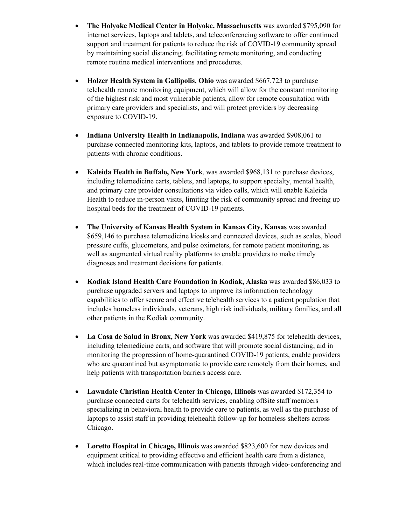- **The Holyoke Medical Center in Holyoke, Massachusetts** was awarded \$795,090 for internet services, laptops and tablets, and teleconferencing software to offer continued support and treatment for patients to reduce the risk of COVID-19 community spread by maintaining social distancing, facilitating remote monitoring, and conducting remote routine medical interventions and procedures.
- **Holzer Health System in Gallipolis, Ohio** was awarded \$667,723 to purchase telehealth remote monitoring equipment, which will allow for the constant monitoring of the highest risk and most vulnerable patients, allow for remote consultation with primary care providers and specialists, and will protect providers by decreasing exposure to COVID-19.
- **Indiana University Health in Indianapolis, Indiana** was awarded \$908,061 to purchase connected monitoring kits, laptops, and tablets to provide remote treatment to patients with chronic conditions.
- **Kaleida Health in Buffalo, New York**, was awarded \$968,131 to purchase devices, including telemedicine carts, tablets, and laptops, to support specialty, mental health, and primary care provider consultations via video calls, which will enable Kaleida Health to reduce in-person visits, limiting the risk of community spread and freeing up hospital beds for the treatment of COVID-19 patients.
- **The University of Kansas Health System in Kansas City, Kansas** was awarded \$659,146 to purchase telemedicine kiosks and connected devices, such as scales, blood pressure cuffs, glucometers, and pulse oximeters, for remote patient monitoring, as well as augmented virtual reality platforms to enable providers to make timely diagnoses and treatment decisions for patients.
- **Kodiak Island Health Care Foundation in Kodiak, Alaska** was awarded \$86,033 to purchase upgraded servers and laptops to improve its information technology capabilities to offer secure and effective telehealth services to a patient population that includes homeless individuals, veterans, high risk individuals, military families, and all other patients in the Kodiak community.
- **La Casa de Salud in Bronx, New York** was awarded \$419,875 for telehealth devices, including telemedicine carts, and software that will promote social distancing, aid in monitoring the progression of home-quarantined COVID-19 patients, enable providers who are quarantined but asymptomatic to provide care remotely from their homes, and help patients with transportation barriers access care.
- **Lawndale Christian Health Center in Chicago, Illinois** was awarded \$172,354 to purchase connected carts for telehealth services, enabling offsite staff members specializing in behavioral health to provide care to patients, as well as the purchase of laptops to assist staff in providing telehealth follow-up for homeless shelters across Chicago.
- **Loretto Hospital in Chicago, Illinois** was awarded \$823,600 for new devices and equipment critical to providing effective and efficient health care from a distance, which includes real-time communication with patients through video-conferencing and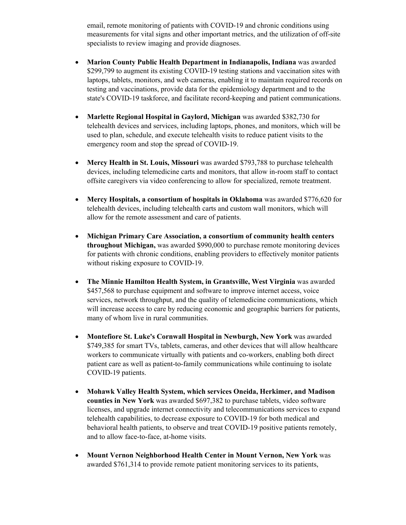email, remote monitoring of patients with COVID-19 and chronic conditions using measurements for vital signs and other important metrics, and the utilization of off-site specialists to review imaging and provide diagnoses.

- **Marion County Public Health Department in Indianapolis, Indiana** was awarded \$299,799 to augment its existing COVID-19 testing stations and vaccination sites with laptops, tablets, monitors, and web cameras, enabling it to maintain required records on testing and vaccinations, provide data for the epidemiology department and to the state's COVID-19 taskforce, and facilitate record-keeping and patient communications.
- **Marlette Regional Hospital in Gaylord, Michigan** was awarded \$382,730 for telehealth devices and services, including laptops, phones, and monitors, which will be used to plan, schedule, and execute telehealth visits to reduce patient visits to the emergency room and stop the spread of COVID-19.
- **Mercy Health in St. Louis, Missouri** was awarded \$793,788 to purchase telehealth devices, including telemedicine carts and monitors, that allow in-room staff to contact offsite caregivers via video conferencing to allow for specialized, remote treatment.
- **Mercy Hospitals, a consortium of hospitals in Oklahoma** was awarded \$776,620 for telehealth devices, including telehealth carts and custom wall monitors, which will allow for the remote assessment and care of patients.
- **Michigan Primary Care Association, a consortium of community health centers throughout Michigan,** was awarded \$990,000 to purchase remote monitoring devices for patients with chronic conditions, enabling providers to effectively monitor patients without risking exposure to COVID-19.
- **The Minnie Hamilton Health System, in Grantsville, West Virginia** was awarded \$457,568 to purchase equipment and software to improve internet access, voice services, network throughput, and the quality of telemedicine communications, which will increase access to care by reducing economic and geographic barriers for patients, many of whom live in rural communities.
- **Montefiore St. Luke's Cornwall Hospital in Newburgh, New York** was awarded \$749,385 for smart TVs, tablets, cameras, and other devices that will allow healthcare workers to communicate virtually with patients and co-workers, enabling both direct patient care as well as patient-to-family communications while continuing to isolate COVID-19 patients.
- **Mohawk Valley Health System, which services Oneida, Herkimer, and Madison counties in New York** was awarded \$697,382 to purchase tablets, video software licenses, and upgrade internet connectivity and telecommunications services to expand telehealth capabilities, to decrease exposure to COVID-19 for both medical and behavioral health patients, to observe and treat COVID-19 positive patients remotely, and to allow face-to-face, at-home visits.
- **Mount Vernon Neighborhood Health Center in Mount Vernon, New York** was awarded \$761,314 to provide remote patient monitoring services to its patients,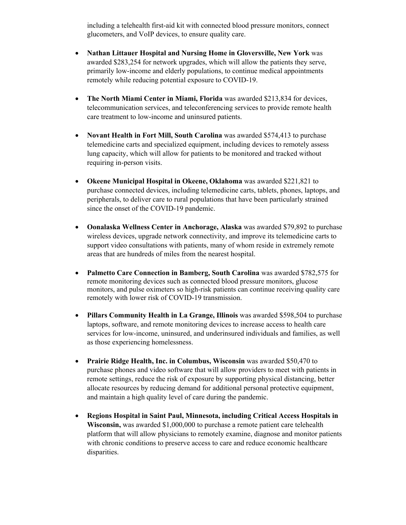including a telehealth first-aid kit with connected blood pressure monitors, connect glucometers, and VoIP devices, to ensure quality care.

- **Nathan Littauer Hospital and Nursing Home in Gloversville, New York** was awarded \$283,254 for network upgrades, which will allow the patients they serve, primarily low-income and elderly populations, to continue medical appointments remotely while reducing potential exposure to COVID-19.
- **The North Miami Center in Miami, Florida** was awarded \$213,834 for devices, telecommunication services, and teleconferencing services to provide remote health care treatment to low-income and uninsured patients.
- **Novant Health in Fort Mill, South Carolina** was awarded \$574,413 to purchase telemedicine carts and specialized equipment, including devices to remotely assess lung capacity, which will allow for patients to be monitored and tracked without requiring in-person visits.
- **Okeene Municipal Hospital in Okeene, Oklahoma** was awarded \$221,821 to purchase connected devices, including telemedicine carts, tablets, phones, laptops, and peripherals, to deliver care to rural populations that have been particularly strained since the onset of the COVID-19 pandemic.
- **Oonalaska Wellness Center in Anchorage, Alaska** was awarded \$79,892 to purchase wireless devices, upgrade network connectivity, and improve its telemedicine carts to support video consultations with patients, many of whom reside in extremely remote areas that are hundreds of miles from the nearest hospital.
- **Palmetto Care Connection in Bamberg, South Carolina** was awarded \$782,575 for remote monitoring devices such as connected blood pressure monitors, glucose monitors, and pulse oximeters so high-risk patients can continue receiving quality care remotely with lower risk of COVID-19 transmission.
- **Pillars Community Health in La Grange, Illinois** was awarded \$598,504 to purchase laptops, software, and remote monitoring devices to increase access to health care services for low-income, uninsured, and underinsured individuals and families, as well as those experiencing homelessness.
- **Prairie Ridge Health, Inc. in Columbus, Wisconsin** was awarded \$50,470 to purchase phones and video software that will allow providers to meet with patients in remote settings, reduce the risk of exposure by supporting physical distancing, better allocate resources by reducing demand for additional personal protective equipment, and maintain a high quality level of care during the pandemic.
- **Regions Hospital in Saint Paul, Minnesota, including Critical Access Hospitals in Wisconsin,** was awarded \$1,000,000 to purchase a remote patient care telehealth platform that will allow physicians to remotely examine, diagnose and monitor patients with chronic conditions to preserve access to care and reduce economic healthcare disparities.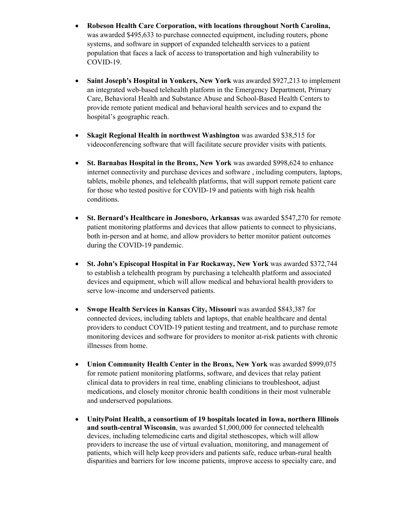- **Robeson Health Care Corporation, with locations throughout North Carolina,**  was awarded \$495,633 to purchase connected equipment, including routers, phone systems, and software in support of expanded telehealth services to a patient population that faces a lack of access to transportation and high vulnerability to COVID-19.
- **Saint Joseph's Hospital in Yonkers, New York** was awarded \$927,213 to implement an integrated web-based telehealth platform in the Emergency Department, Primary Care, Behavioral Health and Substance Abuse and School-Based Health Centers to provide remote patient medical and behavioral health services and to expand the hospital's geographic reach.
- **Skagit Regional Health in northwest Washington** was awarded \$38,515 for videoconferencing software that will facilitate secure provider visits with patients.
- **St. Barnabas Hospital in the Bronx, New York** was awarded \$998,624 to enhance internet connectivity and purchase devices and software , including computers, laptops, tablets, mobile phones, and telehealth platforms, that will support remote patient care for those who tested positive for COVID-19 and patients with high risk health conditions.
- **St. Bernard's Healthcare in Jonesboro, Arkansas** was awarded \$547,270 for remote patient monitoring platforms and devices that allow patients to connect to physicians, both in-person and at home, and allow providers to better monitor patient outcomes during the COVID-19 pandemic.
- **St. John's Episcopal Hospital in Far Rockaway, New York** was awarded \$372,744 to establish a telehealth program by purchasing a telehealth platform and associated devices and equipment, which will allow medical and behavioral health providers to serve low-income and underserved patients.
- **Swope Health Services in Kansas City, Missouri** was awarded \$843,387 for connected devices, including tablets and laptops, that enable healthcare and dental providers to conduct COVID-19 patient testing and treatment, and to purchase remote monitoring devices and software for providers to monitor at-risk patients with chronic illnesses from home.
- **Union Community Health Center in the Bronx, New York** was awarded \$999,075 for remote patient monitoring platforms, software, and devices that relay patient clinical data to providers in real time, enabling clinicians to troubleshoot, adjust medications, and closely monitor chronic health conditions in their most vulnerable and underserved populations.
- **UnityPoint Health, a consortium of 19 hospitals located in Iowa, northern Illinois and south-central Wisconsin**, was awarded \$1,000,000 for connected telehealth devices, including telemedicine carts and digital stethoscopes, which will allow providers to increase the use of virtual evaluation, monitoring, and management of patients, which will help keep providers and patients safe, reduce urban-rural health disparities and barriers for low income patients, improve access to specialty care, and